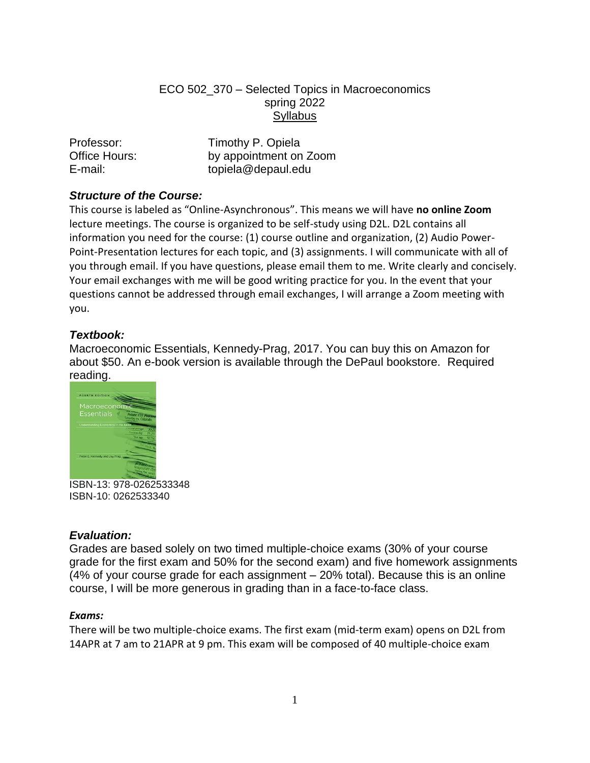## ECO 502\_370 – Selected Topics in Macroeconomics spring 2022 **Syllabus**

| Professor:    | Timothy P. Opiela      |
|---------------|------------------------|
| Office Hours: | by appointment on Zoom |
| E-mail:       | topiela@depaul.edu     |

# *Structure of the Course:*

This course is labeled as "Online-Asynchronous". This means we will have **no online Zoom** lecture meetings. The course is organized to be self-study using D2L. D2L contains all information you need for the course: (1) course outline and organization, (2) Audio Power-Point-Presentation lectures for each topic, and (3) assignments. I will communicate with all of you through email. If you have questions, please email them to me. Write clearly and concisely. Your email exchanges with me will be good writing practice for you. In the event that your questions cannot be addressed through email exchanges, I will arrange a Zoom meeting with you.

## *Textbook:*

Macroeconomic Essentials, Kennedy-Prag, 2017. You can buy this on Amazon for about \$50. An e-book version is available through the DePaul bookstore. Required reading.



ISBN-13: 978-0262533348 ISBN-10: 0262533340

## *Evaluation:*

Grades are based solely on two timed multiple-choice exams (30% of your course grade for the first exam and 50% for the second exam) and five homework assignments (4% of your course grade for each assignment – 20% total). Because this is an online course, I will be more generous in grading than in a face-to-face class.

## *Exams:*

There will be two multiple-choice exams. The first exam (mid-term exam) opens on D2L from 14APR at 7 am to 21APR at 9 pm. This exam will be composed of 40 multiple-choice exam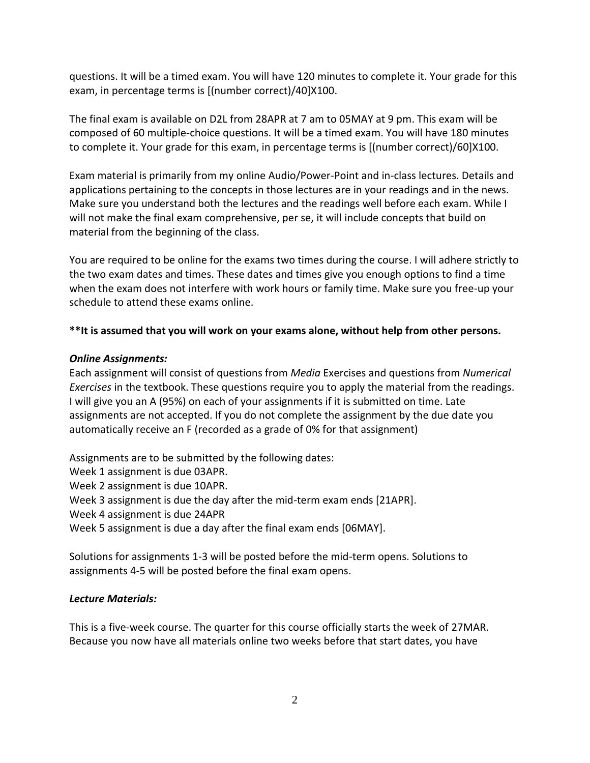questions. It will be a timed exam. You will have 120 minutes to complete it. Your grade for this exam, in percentage terms is [(number correct)/40]X100.

The final exam is available on D2L from 28APR at 7 am to 05MAY at 9 pm. This exam will be composed of 60 multiple-choice questions. It will be a timed exam. You will have 180 minutes to complete it. Your grade for this exam, in percentage terms is [(number correct)/60]X100.

Exam material is primarily from my online Audio/Power-Point and in-class lectures. Details and applications pertaining to the concepts in those lectures are in your readings and in the news. Make sure you understand both the lectures and the readings well before each exam. While I will not make the final exam comprehensive, per se, it will include concepts that build on material from the beginning of the class.

You are required to be online for the exams two times during the course. I will adhere strictly to the two exam dates and times. These dates and times give you enough options to find a time when the exam does not interfere with work hours or family time. Make sure you free-up your schedule to attend these exams online.

## **\*\*It is assumed that you will work on your exams alone, without help from other persons.**

### *Online Assignments:*

Each assignment will consist of questions from *Media* Exercises and questions from *Numerical Exercises* in the textbook. These questions require you to apply the material from the readings. I will give you an A (95%) on each of your assignments if it is submitted on time. Late assignments are not accepted. If you do not complete the assignment by the due date you automatically receive an F (recorded as a grade of 0% for that assignment)

Assignments are to be submitted by the following dates: Week 1 assignment is due 03APR. Week 2 assignment is due 10APR. Week 3 assignment is due the day after the mid-term exam ends [21APR]. Week 4 assignment is due 24APR Week 5 assignment is due a day after the final exam ends [06MAY].

Solutions for assignments 1-3 will be posted before the mid-term opens. Solutions to assignments 4-5 will be posted before the final exam opens.

## *Lecture Materials:*

This is a five-week course. The quarter for this course officially starts the week of 27MAR. Because you now have all materials online two weeks before that start dates, you have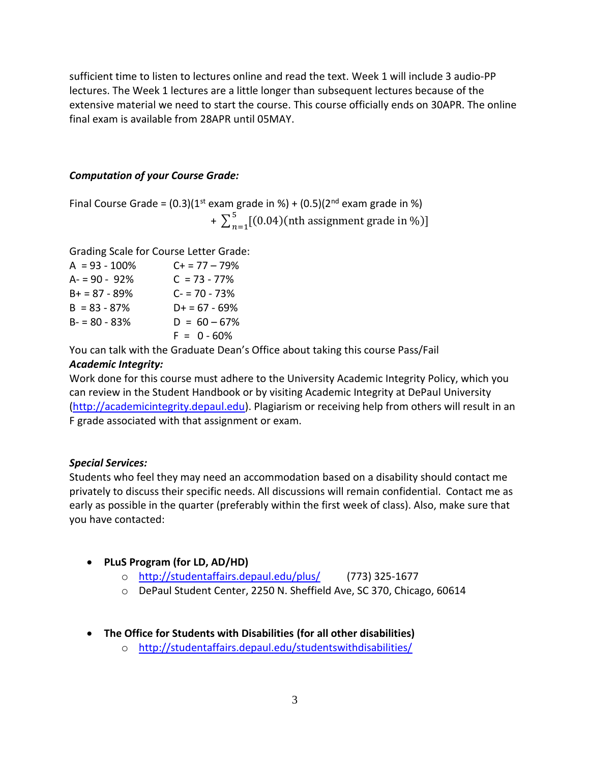sufficient time to listen to lectures online and read the text. Week 1 will include 3 audio-PP lectures. The Week 1 lectures are a little longer than subsequent lectures because of the extensive material we need to start the course. This course officially ends on 30APR. The online final exam is available from 28APR until 05MAY.

#### *Computation of your Course Grade:*

Final Course Grade =  $(0.3)(1^{st}$  exam grade in %) +  $(0.5)(2^{nd}$  exam grade in %) +  $\sum_{n=1}^{5}$  [(0.04)(nth assignment grade in %)]  $n=1$ 

Grading Scale for Course Letter Grade:

| $A = 93 - 100\%$ | $C + 77 - 79%$  |
|------------------|-----------------|
| $A = 90 - 92%$   | $C = 73 - 77\%$ |
| $B+ = 87 - 89%$  | $C = 70 - 73%$  |
| $B = 83 - 87%$   | $D+ = 67 - 69%$ |
| $B - 80 - 83%$   | $D = 60 - 67%$  |
|                  | $F = 0 - 60\%$  |
|                  |                 |

You can talk with the Graduate Dean's Office about taking this course Pass/Fail

### *Academic Integrity:*

Work done for this course must adhere to the University Academic Integrity Policy, which you can review in the Student Handbook or by visiting Academic Integrity at DePaul University [\(http://academicintegrity.depaul.edu\)](http://academicintegrity.depaul.edu/). Plagiarism or receiving help from others will result in an F grade associated with that assignment or exam.

### *Special Services:*

Students who feel they may need an accommodation based on a disability should contact me privately to discuss their specific needs. All discussions will remain confidential. Contact me as early as possible in the quarter (preferably within the first week of class). Also, make sure that you have contacted:

- **PLuS Program (for LD, AD/HD)**
	- o <http://studentaffairs.depaul.edu/plus/> (773) 325-1677
	- o DePaul Student Center, 2250 N. Sheffield Ave, SC 370, Chicago, 60614
- **The Office for Students with Disabilities (for all other disabilities)**
	- o <http://studentaffairs.depaul.edu/studentswithdisabilities/>